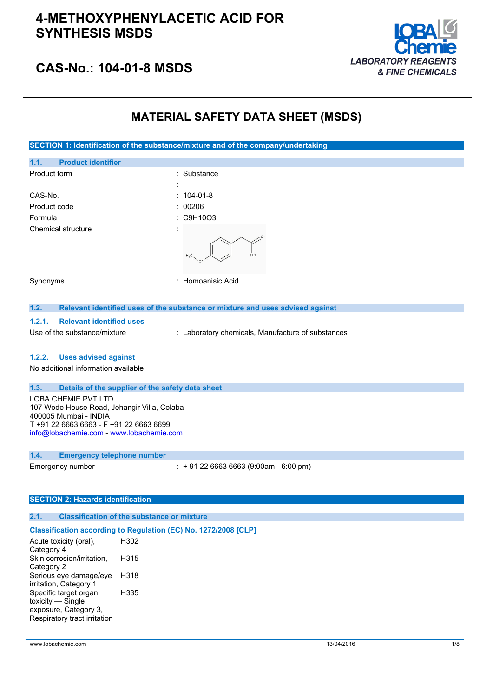

## **CAS-No.: 104-01-8 MSDS**

## **MATERIAL SAFETY DATA SHEET (MSDS)**

**SECTION 1: Identification of the substance/mixture and of the company/undertaking 1.1. Product identifier** Product form : Substance : Substance : CAS-No. : 104-01-8 Product code : 00206 Formula : C9H10O3 Chemical structure Synonyms : Homoanisic Acid **1.2. Relevant identified uses of the substance or mixture and uses advised against 1.2.1. Relevant identified uses** Use of the substance/mixture : Laboratory chemicals, Manufacture of substances **1.2.2. Uses advised against** No additional information available **1.3. Details of the supplier of the safety data sheet** LOBA CHEMIE PVT.LTD. 107 Wode House Road, Jehangir Villa, Colaba 400005 Mumbai - INDIA T +91 22 6663 6663 - F +91 22 6663 6699 [info@lobachemie.com](mailto:info@lobachemie.com) - <www.lobachemie.com> **1.4. Emergency telephone number**

Emergency number : + 91 22 6663 6663 (9:00am - 6:00 pm)

#### **SECTION 2: Hazards identification**

#### **2.1. Classification of the substance or mixture**

### **Classification according to Regulation (EC) No. 1272/2008 [CLP]**

| Acute toxicity (oral),       | H302 |
|------------------------------|------|
| Category 4                   |      |
| Skin corrosion/irritation,   | H315 |
| Category 2                   |      |
| Serious eye damage/eye       | H318 |
| irritation, Category 1       |      |
| Specific target organ        | H335 |
| toxicity — Single            |      |
| exposure, Category 3,        |      |
| Respiratory tract irritation |      |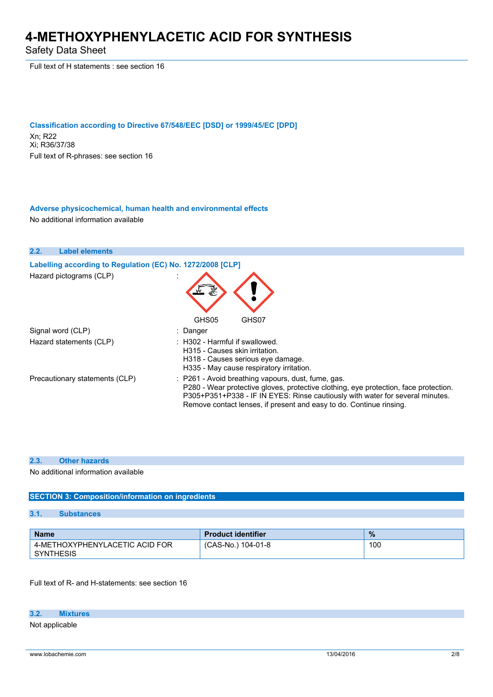Safety Data Sheet

Full text of H statements : see section 16

**Classification according to Directive 67/548/EEC [DSD] or 1999/45/EC [DPD]** Xn; R22 Xi; R36/37/38 Full text of R-phrases: see section 16

**Adverse physicochemical, human health and environmental effects** No additional information available

**2.2. Label elements Labelling according to Regulation** (EC) No. 1272/2008 [CLP] Hazard pictograms (CLP) : GHS05 GHS07 Signal word (CLP) : Danger Hazard statements (CLP)  $\qquad \qquad$ : H302 - Harmful if swallowed. H315 - Causes skin irritation. H318 - Causes serious eye damage. H335 - May cause respiratory irritation. Precautionary statements (CLP) : P261 - Avoid breathing vapours, dust, fume, gas. P280 - Wear protective gloves, protective clothing, eye protection, face protection. P305+P351+P338 - IF IN EYES: Rinse cautiously with water for several minutes. Remove contact lenses, if present and easy to do. Continue rinsing.

#### **2.3. Other hazards**

No additional information available

### **SECTION 3: Composition/information on ingredients**

#### **3.1. Substances**

| <b>Name</b>                                        | <b>Product identifier</b> | $\%$ |
|----------------------------------------------------|---------------------------|------|
| 4-METHOXYPHENYLACETIC ACID FOR<br><b>SYNTHESIS</b> | (CAS-No.) 104-01-8        | 100  |

Full text of R- and H-statements: see section 16

### **3.2. Mixtures**

Not applicable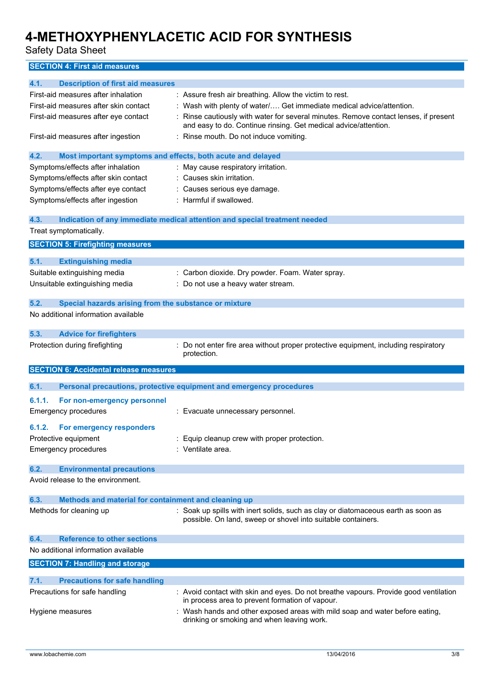Safety Data Sheet

**SECTION 4: First aid measures**

| 4.1.<br><b>Description of first aid measures</b>                    |                                                                                                                                                       |  |
|---------------------------------------------------------------------|-------------------------------------------------------------------------------------------------------------------------------------------------------|--|
| First-aid measures after inhalation                                 | : Assure fresh air breathing. Allow the victim to rest.                                                                                               |  |
| First-aid measures after skin contact                               | : Wash with plenty of water/ Get immediate medical advice/attention.                                                                                  |  |
| First-aid measures after eye contact                                | Rinse cautiously with water for several minutes. Remove contact lenses, if present<br>and easy to do. Continue rinsing. Get medical advice/attention. |  |
| First-aid measures after ingestion                                  | : Rinse mouth. Do not induce vomiting.                                                                                                                |  |
| 4.2.<br>Most important symptoms and effects, both acute and delayed |                                                                                                                                                       |  |
| Symptoms/effects after inhalation                                   | May cause respiratory irritation.                                                                                                                     |  |
| Symptoms/effects after skin contact                                 | : Causes skin irritation.                                                                                                                             |  |
| Symptoms/effects after eye contact                                  | Causes serious eye damage.                                                                                                                            |  |
| Symptoms/effects after ingestion                                    | Harmful if swallowed.                                                                                                                                 |  |
| 4.3.                                                                | Indication of any immediate medical attention and special treatment needed                                                                            |  |
| Treat symptomatically.                                              |                                                                                                                                                       |  |
| <b>SECTION 5: Firefighting measures</b>                             |                                                                                                                                                       |  |
|                                                                     |                                                                                                                                                       |  |
| 5.1.<br><b>Extinguishing media</b><br>Suitable extinguishing media  |                                                                                                                                                       |  |
|                                                                     | : Carbon dioxide. Dry powder. Foam. Water spray.                                                                                                      |  |
| Unsuitable extinguishing media                                      | Do not use a heavy water stream.                                                                                                                      |  |
| 5.2.<br>Special hazards arising from the substance or mixture       |                                                                                                                                                       |  |
| No additional information available                                 |                                                                                                                                                       |  |
| 5.3.<br><b>Advice for firefighters</b>                              |                                                                                                                                                       |  |
| Protection during firefighting                                      | : Do not enter fire area without proper protective equipment, including respiratory<br>protection.                                                    |  |
| <b>SECTION 6: Accidental release measures</b>                       |                                                                                                                                                       |  |
| 6.1.                                                                | Personal precautions, protective equipment and emergency procedures                                                                                   |  |
|                                                                     |                                                                                                                                                       |  |
| 6.1.1.<br>For non-emergency personnel                               |                                                                                                                                                       |  |
| Emergency procedures                                                | : Evacuate unnecessary personnel.                                                                                                                     |  |
| 6.1.2.<br>For emergency responders                                  |                                                                                                                                                       |  |
| Protective equipment                                                | Equip cleanup crew with proper protection.                                                                                                            |  |
| Emergency procedures                                                | : Ventilate area.                                                                                                                                     |  |
| 6.2.<br><b>Environmental precautions</b>                            |                                                                                                                                                       |  |
| Avoid release to the environment.                                   |                                                                                                                                                       |  |
|                                                                     |                                                                                                                                                       |  |
| 6.3.<br>Methods and material for containment and cleaning up        |                                                                                                                                                       |  |
| Methods for cleaning up                                             | : Soak up spills with inert solids, such as clay or diatomaceous earth as soon as<br>possible. On land, sweep or shovel into suitable containers.     |  |
| <b>Reference to other sections</b><br>6.4.                          |                                                                                                                                                       |  |
| No additional information available                                 |                                                                                                                                                       |  |
| <b>SECTION 7: Handling and storage</b>                              |                                                                                                                                                       |  |
| 7.1.<br><b>Precautions for safe handling</b>                        |                                                                                                                                                       |  |
| Precautions for safe handling                                       | : Avoid contact with skin and eyes. Do not breathe vapours. Provide good ventilation                                                                  |  |
|                                                                     | in process area to prevent formation of vapour.                                                                                                       |  |
| Hygiene measures                                                    | Wash hands and other exposed areas with mild soap and water before eating,<br>drinking or smoking and when leaving work.                              |  |
|                                                                     |                                                                                                                                                       |  |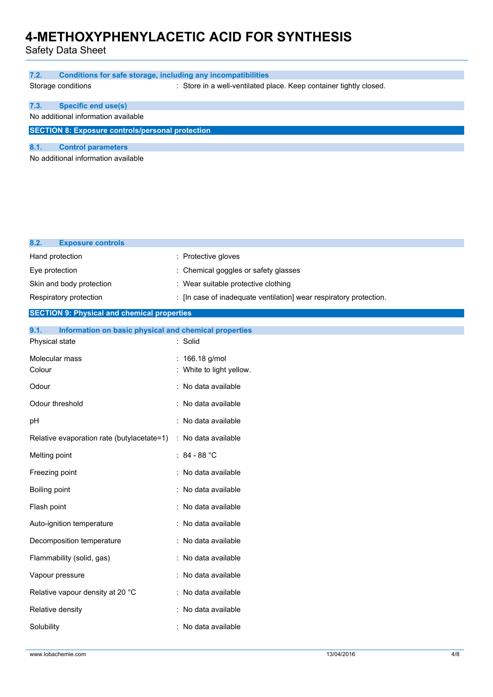Safety Data Sheet

| 7.2.<br><b>Conditions for safe storage, including any incompatibilities</b>     |                                                                                                           |
|---------------------------------------------------------------------------------|-----------------------------------------------------------------------------------------------------------|
| Storage conditions                                                              | : Store in a well-ventilated place. Keep container tightly closed.                                        |
| <b>Specific end use(s)</b><br>7.3.                                              |                                                                                                           |
| No additional information available                                             |                                                                                                           |
| <b>SECTION 8: Exposure controls/personal protection</b>                         |                                                                                                           |
| 8.1.<br><b>Control parameters</b>                                               |                                                                                                           |
| No additional information available                                             |                                                                                                           |
|                                                                                 |                                                                                                           |
|                                                                                 |                                                                                                           |
|                                                                                 |                                                                                                           |
|                                                                                 |                                                                                                           |
| 8.2.<br><b>Exposure controls</b>                                                |                                                                                                           |
| Hand protection                                                                 | : Protective gloves                                                                                       |
| Eye protection                                                                  | : Chemical goggles or safety glasses                                                                      |
| Skin and body protection<br>Respiratory protection                              | : Wear suitable protective clothing<br>: [In case of inadequate ventilation] wear respiratory protection. |
| <b>SECTION 9: Physical and chemical properties</b>                              |                                                                                                           |
|                                                                                 |                                                                                                           |
| 9.1.<br>Information on basic physical and chemical properties<br>Physical state | : Solid                                                                                                   |
| Molecular mass                                                                  | : 166.18 g/mol                                                                                            |
| Colour                                                                          | : White to light yellow.                                                                                  |
| Odour                                                                           | : No data available                                                                                       |
| Odour threshold                                                                 | : No data available                                                                                       |
| pH                                                                              | : No data available                                                                                       |
| Relative evaporation rate (butylacetate=1) : No data available                  |                                                                                                           |
| Melting point                                                                   | : $84 - 88 °C$                                                                                            |
| Freezing point                                                                  | : No data available                                                                                       |
| Boiling point                                                                   | : No data available                                                                                       |
| Flash point                                                                     | : No data available                                                                                       |
| Auto-ignition temperature                                                       | : No data available                                                                                       |
| Decomposition temperature                                                       | : No data available                                                                                       |
| Flammability (solid, gas)                                                       | : No data available                                                                                       |
| Vapour pressure                                                                 | : No data available                                                                                       |
| Relative vapour density at 20 °C                                                | : No data available                                                                                       |
| Relative density                                                                | : No data available                                                                                       |
| Solubility                                                                      | : No data available                                                                                       |
|                                                                                 |                                                                                                           |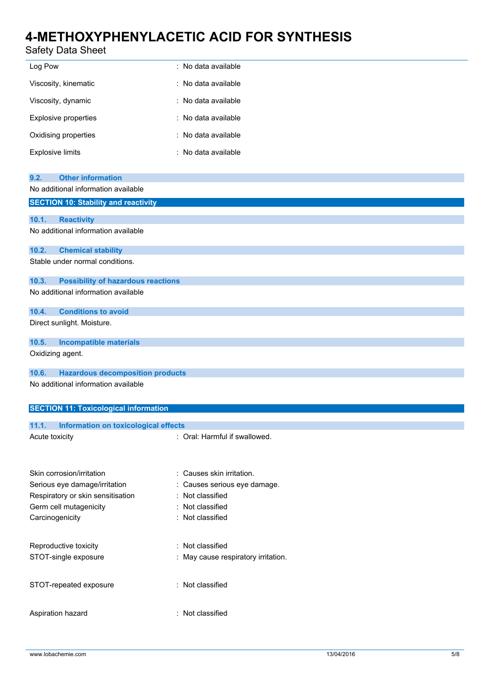## Safety Data Sheet

| Safety Data Sheet                                                       |                                                         |
|-------------------------------------------------------------------------|---------------------------------------------------------|
| Log Pow                                                                 | : No data available                                     |
| Viscosity, kinematic                                                    | : No data available                                     |
| Viscosity, dynamic                                                      | : No data available                                     |
| <b>Explosive properties</b>                                             | : No data available                                     |
| Oxidising properties                                                    | : No data available                                     |
| <b>Explosive limits</b>                                                 | : No data available                                     |
|                                                                         |                                                         |
| <b>Other information</b><br>9.2.<br>No additional information available |                                                         |
|                                                                         |                                                         |
| <b>SECTION 10: Stability and reactivity</b>                             |                                                         |
| 10.1.<br><b>Reactivity</b>                                              |                                                         |
| No additional information available                                     |                                                         |
| 10.2.<br><b>Chemical stability</b>                                      |                                                         |
| Stable under normal conditions.                                         |                                                         |
| 10.3.<br><b>Possibility of hazardous reactions</b>                      |                                                         |
| No additional information available                                     |                                                         |
| <b>Conditions to avoid</b><br>10.4.                                     |                                                         |
| Direct sunlight. Moisture.                                              |                                                         |
| 10.5.<br><b>Incompatible materials</b>                                  |                                                         |
| Oxidizing agent.                                                        |                                                         |
| 10.6.<br><b>Hazardous decomposition products</b>                        |                                                         |
| No additional information available                                     |                                                         |
|                                                                         |                                                         |
| <b>SECTION 11: Toxicological information</b>                            |                                                         |
| <b>Information on toxicological effects</b><br>11.1.                    |                                                         |
| Acute toxicity                                                          | : Oral: Harmful if swallowed.                           |
|                                                                         |                                                         |
| Skin corrosion/irritation                                               | : Causes skin irritation.                               |
| Serious eye damage/irritation                                           | : Causes serious eye damage.                            |
| Respiratory or skin sensitisation                                       | : Not classified                                        |
| Germ cell mutagenicity                                                  | : Not classified                                        |
| Carcinogenicity                                                         | : Not classified                                        |
|                                                                         |                                                         |
| Reproductive toxicity<br>STOT-single exposure                           | : Not classified<br>: May cause respiratory irritation. |
|                                                                         |                                                         |

STOT-repeated exposure : Not classified

Aspiration hazard : Not classified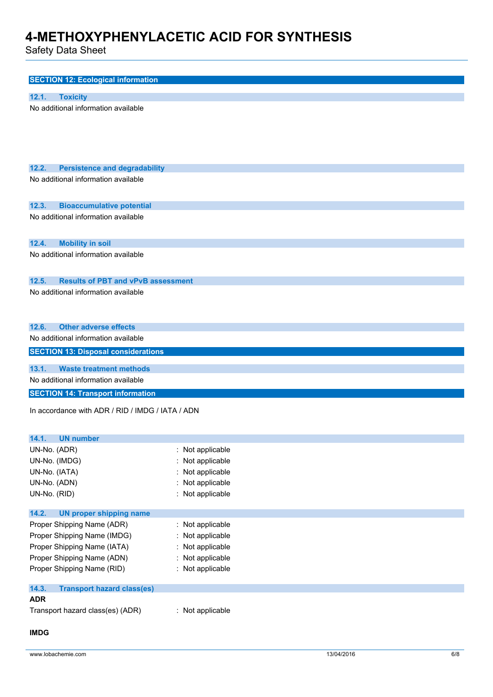Safety Data Sheet

| <b>SECTION 12: Ecological information</b>                                                                   |                                                                                                                |
|-------------------------------------------------------------------------------------------------------------|----------------------------------------------------------------------------------------------------------------|
| 12.1.<br><b>Toxicity</b>                                                                                    |                                                                                                                |
| No additional information available                                                                         |                                                                                                                |
| 12.2.<br><b>Persistence and degradability</b>                                                               |                                                                                                                |
| No additional information available                                                                         |                                                                                                                |
| <b>Bioaccumulative potential</b><br>12.3.                                                                   |                                                                                                                |
| No additional information available                                                                         |                                                                                                                |
| 12.4.<br><b>Mobility in soil</b>                                                                            |                                                                                                                |
| No additional information available                                                                         |                                                                                                                |
| 12.5.<br><b>Results of PBT and vPvB assessment</b>                                                          |                                                                                                                |
| No additional information available                                                                         |                                                                                                                |
| <b>Other adverse effects</b><br>12.6.                                                                       |                                                                                                                |
| No additional information available                                                                         |                                                                                                                |
| <b>SECTION 13: Disposal considerations</b>                                                                  |                                                                                                                |
| 13.1.<br><b>Waste treatment methods</b>                                                                     |                                                                                                                |
| No additional information available                                                                         |                                                                                                                |
| <b>SECTION 14: Transport information</b>                                                                    |                                                                                                                |
| In accordance with ADR / RID / IMDG / IATA / ADN                                                            |                                                                                                                |
| 14.1.<br><b>UN number</b><br>UN-No. (ADR)<br>UN-No. (IMDG)<br>UN-No. (IATA)<br>UN-No. (ADN)<br>UN-No. (RID) | Not applicable<br>$\ddot{\phantom{0}}$<br>Not applicable<br>Not applicable<br>Not applicable<br>Not applicable |
| 14.2.<br><b>UN proper shipping name</b>                                                                     |                                                                                                                |
| Proper Shipping Name (ADR)                                                                                  | Not applicable<br>$\ddot{\cdot}$                                                                               |
| Proper Shipping Name (IMDG)                                                                                 | Not applicable                                                                                                 |
| Proper Shipping Name (IATA)                                                                                 | Not applicable                                                                                                 |
| Proper Shipping Name (ADN)                                                                                  | Not applicable                                                                                                 |
| Proper Shipping Name (RID)                                                                                  | Not applicable<br>$\ddot{\cdot}$                                                                               |

| 14.3.<br><b>Transport hazard class(es)</b> |                |
|--------------------------------------------|----------------|
| <b>ADR</b>                                 |                |
| Transport hazard class(es) (ADR)           | Not applicable |

## **IMDG**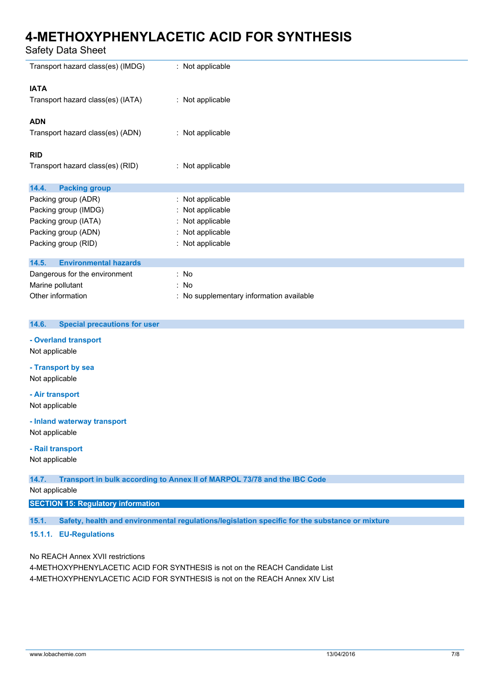Safety Data Sheet

| Transport hazard class(es) (IMDG)                | : Not applicable                         |
|--------------------------------------------------|------------------------------------------|
| <b>IATA</b><br>Transport hazard class(es) (IATA) | : Not applicable                         |
|                                                  |                                          |
| <b>ADN</b>                                       |                                          |
| Transport hazard class(es) (ADN)                 | : Not applicable                         |
| <b>RID</b>                                       |                                          |
| Transport hazard class(es) (RID)                 | : Not applicable                         |
| 14.4.<br><b>Packing group</b>                    |                                          |
| Packing group (ADR)                              | Not applicable<br>÷                      |
| Packing group (IMDG)                             | Not applicable                           |
| Packing group (IATA)                             | Not applicable                           |
| Packing group (ADN)                              | Not applicable                           |
| Packing group (RID)                              | Not applicable                           |
| 14.5.<br><b>Environmental hazards</b>            |                                          |
| Dangerous for the environment                    | : No                                     |
| Marine pollutant                                 | : No                                     |
| Other information                                | : No supplementary information available |
| 14.6.<br><b>Special precautions for user</b>     |                                          |
| - Overland transport                             |                                          |
| Not applicable                                   |                                          |
| - Transport by sea                               |                                          |

Not applicable

### **- Air transport**

Not applicable

**- Inland waterway transport** Not applicable

## **- Rail transport**

Not applicable

### **14.7. Transport in bulk according to Annex II of MARPOL 73/78 and the IBC Code**

Not applicable

## **SECTION 15: Regulatory information**

**15.1. Safety, health and environmental regulations/legislation specific for the substance or mixture**

### **15.1.1. EU-Regulations**

No REACH Annex XVII restrictions

4-METHOXYPHENYLACETIC ACID FOR SYNTHESIS is not on the REACH Candidate List 4-METHOXYPHENYLACETIC ACID FOR SYNTHESIS is not on the REACH Annex XIV List